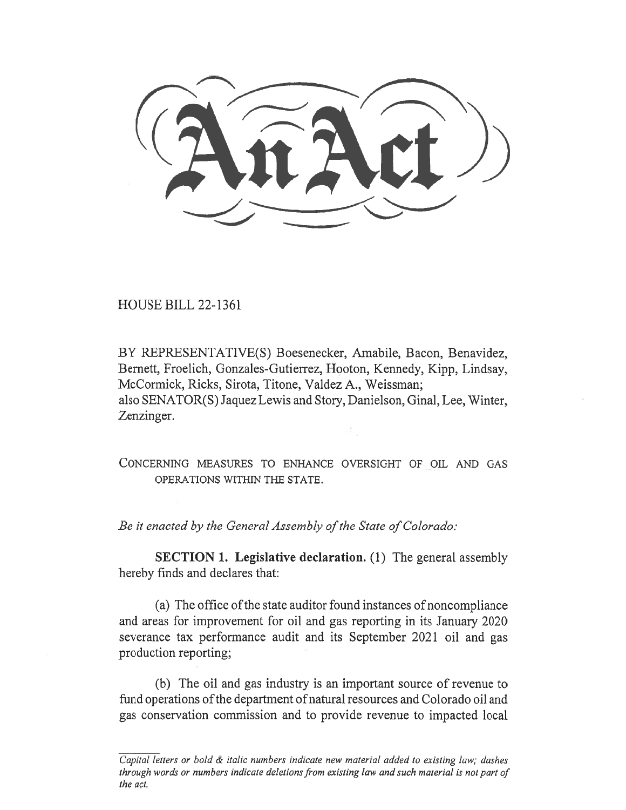HOUSE BILL 22-1361

BY REPRESENTATIVE(S) Boesenecker, Amabile, Bacon, Benavidez, Bernett, Froelich, Gonzales-Gutierrez, Hooton, Kennedy, Kipp, Lindsay, McCormick, Ricks, Sirota, Titone, Valdez A., Weissman; also SENATOR(S) Jaquez Lewis and Story, Danielson, Ginal, Lee, Winter, Zenzinger.

CONCERNING MEASURES TO ENHANCE OVERSIGHT OF OIL AND GAS OPERATIONS WITHIN THE STATE.

Be it enacted by the General Assembly of the State of Colorado:

SECTION 1. Legislative declaration. (1) The general assembly hereby finds and declares that:

(a) The office of the state auditor found instances of noncompliance and areas for improvement for oil and gas reporting in its January 2020 severance tax performance audit and its September 2021 oil and gas production reporting;

(b) The oil and gas industry is an important source of revenue to fund operations of the department of natural resources and Colorado oil and gas conservation commission and to provide revenue to impacted local

Capital letters or bold & italic numbers indicate new material added to existing law; dashes through words or numbers indicate deletions from existing law and such material is not part of the act.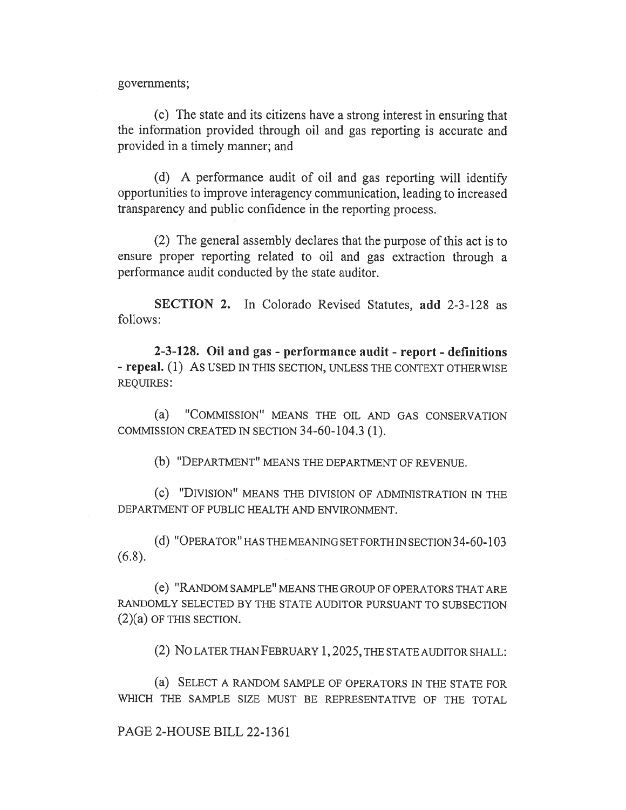governments;

(c) The state and its citizens have a strong interest in ensuring that the information provided through oil and gas reporting is accurate and provided in a timely manner; and

(d) A performance audit of oil and gas reporting will identify opportunities to improve interagency communication, leading to increased transparency and public confidence in the reporting process.

(2) The general assembly declares that the purpose of this act is to ensure proper reporting related to oil and gas extraction through a performance audit conducted by the state auditor.

SECTION 2. In Colorado Revised Statutes, add 2-3-128 as follows:

2-3-128. Oil and gas - performance audit - report - definitions - repeal. (1) AS USED IN THIS SECTION, UNLESS THE CONTEXT OTHERWISE REQUIRES:

(a) "COMMISSION" MEANS THE OIL AND GAS CONSERVATION COMMISSION CREATED IN SECTION 34-60-104.3 (1).

(b) "DEPARTMENT" MEANS THE DEPARTMENT OF REVENUE.

(c) "DIVISION" MEANS THE DIVISION OF ADMINISTRATION IN THE DEPARTMENT OF PUBLIC HEALTH AND ENVIRONMENT.

(d) "OPERATOR" HAS THE MEANING SET FORTH IN SECTION 34-60-103 (6.8).

(e) "RANDOM SAMPLE" MEANS THE GROUP OF OPERATORS THAT ARE RANDOMLY SELECTED BY THE STATE AUDITOR PURSUANT TO SUBSECTION  $(2)(a)$  OF THIS SECTION.

(2) No LATER THAN FEBRUARY 1, 2025, THE STATE AUDITOR SHALL:

(a) SELECT A RANDOM SAMPLE OF OPERATORS IN THE STATE FOR WHICH THE SAMPLE SIZE MUST BE REPRESENTATIVE OF THE TOTAL

## PAGE 2-HOUSE BILL 22-1361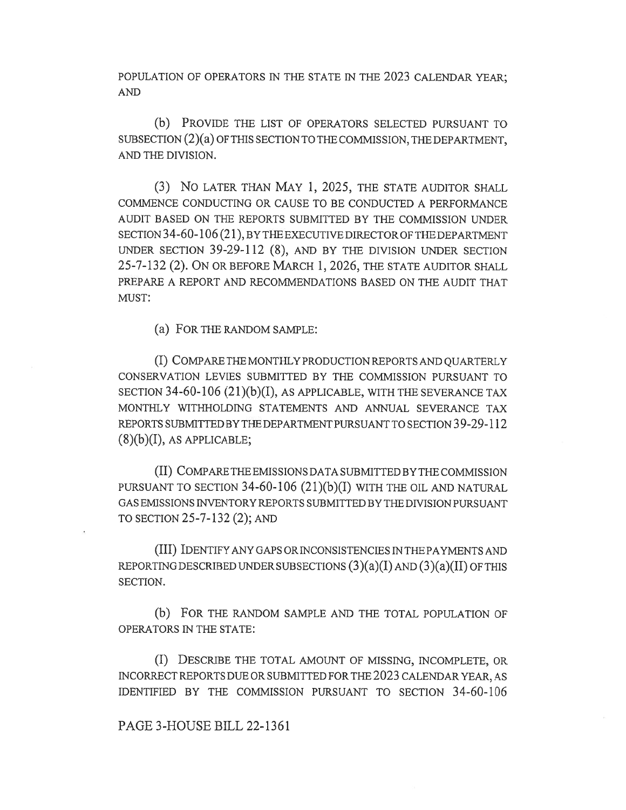POPULATION OF OPERATORS IN THE STATE IN THE 2023 CALENDAR YEAR: AND

(b) PROVIDE THE LIST OF OPERATORS SELECTED PURSUANT TO SUBSECTION (2)(a) OF THIS SECTION TO THE COMMISSION, THE DEPARTMENT, AND THE DIVISION.

(3) No LATER THAN MAY 1, 2025, THE STATE AUDITOR SHALL COMMENCE CONDUCTING OR CAUSE TO BE CONDUCTED A PERFORMANCE AUDIT BASED ON THE REPORTS SUBMITTED BY THE COMMISSION UNDER SECTION 34-60-106 (21), BY THE EXECUTIVE DIRECTOR OF THE DEPARTMENT UNDER SECTION 39-29-112 (8), AND BY THE DIVISION UNDER SECTION 25-7-132 (2). ON OR BEFORE MARCH 1, 2026, THE STATE AUDITOR SHALL PREPARE A REPORT AND RECOMMENDATIONS BASED ON THE AUDIT THAT MUST:

(a) FOR THE RANDOM SAMPLE:

(I) COMPARE THE MONTHLY PRODUCTION REPORTS AND QUARTERLY CONSERVATION LEVIES SUBMITTED BY THE COMMISSION PURSUANT TO SECTION 34-60-106 (21)(b)(I), AS APPLICABLE, WITH THE SEVERANCE TAX MONTHLY WITHHOLDING STATEMENTS AND ANNUAL SEVERANCE TAX REPORTS SUBMITTED BY THE DEPARTMENT PURSUANT TO SECTION 39-29-112  $(8)(b)(I)$ , AS APPLICABLE;

(II) COMPARE THE EMISSIONS DATA SUBMITTED BY THE COMMISSION PURSUANT TO SECTION 34-60-106 (21)(b)(I) WITH THE OIL AND NATURAL GAS EMISSIONS INVENTORY REPORTS SUBMITTED BY THE DIVISION PURSUANT TO SECTION 25-7-132 (2); AND

(III) IDENTIFY ANY GAPS OR INCONSISTENCIES IN THE PAYMENTS AND REPORTING DESCRIBED UNDER SUBSECTIONS  $(3)(a)(I)$  AND  $(3)(a)(II)$  OF THIS SECTION.

(b) FOR THE RANDOM SAMPLE AND THE TOTAL POPULATION OF OPERATORS IN THE STATE:

(I) DESCRIBE THE TOTAL AMOUNT OF MISSING, INCOMPLETE, OR INCORRECT REPORTS DUE OR SUBMITTED FOR THE 2023 CALENDAR YEAR, AS IDENTIFIED BY THE COMMISSION PURSUANT TO SECTION 34-60-106

## PAGE 3-HOUSE BILL 22-1361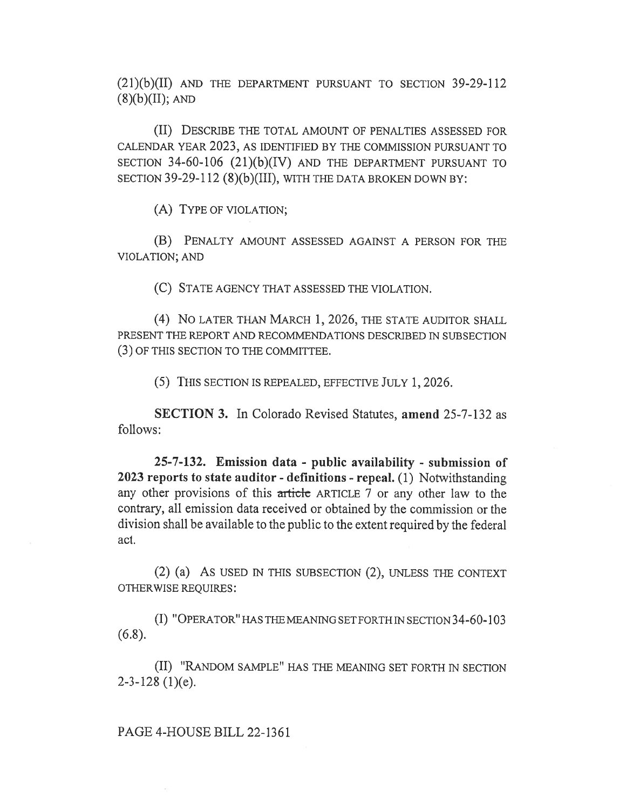(21)(b)(II) AND THE DEPARTMENT PURSUANT TO SECTION 39-29-112  $(8)(b)(II)$ ; AND

(II) DESCRIBE THE TOTAL AMOUNT OF PENALTIES ASSESSED FOR CALENDAR YEAR 2023, AS IDENTIFIED BY THE COMMISSION PURSUANT TO SECTION 34-60-106 (21)(b)(IV) AND THE DEPARTMENT PURSUANT TO SECTION 39-29-112 (8)(b)(III), WITH THE DATA BROKEN DOWN BY:

(A) TYPE OF VIOLATION;

(B) PENALTY AMOUNT ASSESSED AGAINST A PERSON FOR THE VIOLATION; AND

(C) STATE AGENCY THAT ASSESSED THE VIOLATION.

(4) No LATER THAN MARCH 1, 2026, THE STATE AUDITOR SHALL PRESENT THE REPORT AND RECOMMENDATIONS DESCRIBED IN SUBSECTION (3) OF THIS SECTION TO THE COMMITTEE.

(5) THIS SECTION IS REPEALED, EFFECTIVE JULY 1, 2026.

SECTION 3. In Colorado Revised Statutes, amend 25-7-132 as follows:

25-7-132. Emission data - public availability - submission of 2023 reports to state auditor - definitions - repeal. (1) Notwithstanding any other provisions of this  $\pi$ -tick ARTICLE 7 or any other law to the contrary, all emission data received or obtained by the commission or the division shall be available to the public to the extent required by the federal act.

(2) (a) AS USED IN THIS SUBSECTION (2), UNLESS THE CONTEXT OTHERWISE REQUIRES:

(I) "OPERATOR" HAS THE MEANING SET FORTH IN SECTION 34-60-103 (6.8).

(II) "RANDOM SAMPLE" HAS THE MEANING SET FORTH IN SECTION  $2 - 3 - 128$  (1)(e).

## PAGE 4-HOUSE BILL 22-1361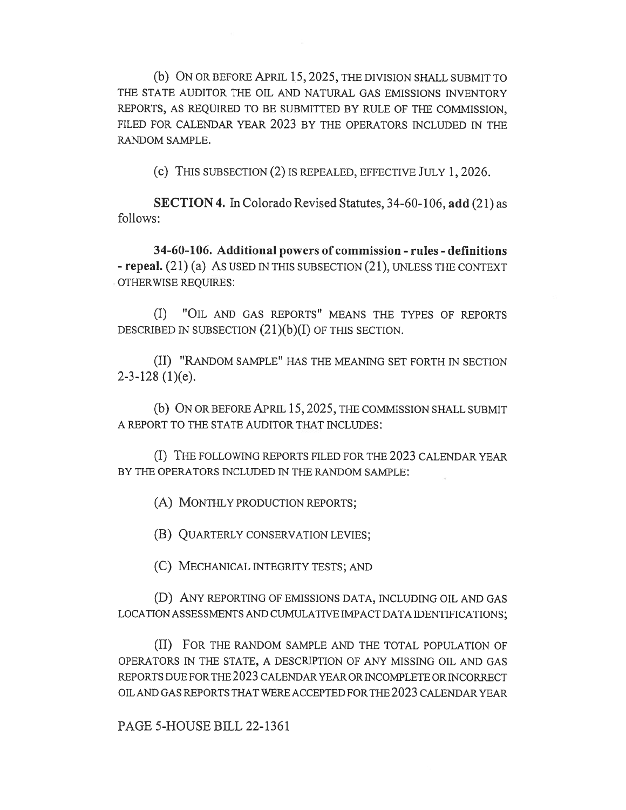(b) ON OR BEFORE APRIL 15, 2025, THE DIVISION SHALL SUBMIT TO THE STATE AUDITOR THE OIL AND NATURAL GAS EMISSIONS INVENTORY REPORTS, AS REQUIRED TO BE SUBMITTED BY RULE OF THE COMMISSION, FILED FOR CALENDAR YEAR 2023 BY THE OPERATORS INCLUDED IN THE RANDOM SAMPLE.

(c) THIS SUBSECTION (2) IS REPEALED, EFFECTIVE JULY 1, 2026.

SECTION 4. In Colorado Revised Statutes, 34-60-106, add (21) as follows:

34-60-106. Additional powers of commission - rules - definitions - repeal. (21) (a) AS USED IN THIS SUBSECTION (21), UNLESS THE CONTEXT OTHERWISE REQUIRES:

(I) "OIL AND GAS REPORTS" MEANS THE TYPES OF REPORTS DESCRIBED IN SUBSECTION (21)(b)(I) OF THIS SECTION.

(II) "RANDOM SAMPLE" HAS THE MEANING SET FORTH IN SECTION 2-3-128 (1)(e).

(b) ON OR BEFORE APRIL 15, 2025, THE COMMISSION SHALL SUBMIT A REPORT TO THE STATE AUDITOR THAT INCLUDES:

(I) THE FOLLOWING REPORTS FILED FOR THE 2023 CALENDAR YEAR BY THE OPERATORS INCLUDED IN THE RANDOM SAMPLE:

(A) MONTHLY PRODUCTION REPORTS;

(B) QUARTERLY CONSERVATION LEVIES;

(C) MECHANICAL INTEGRITY TESTS; AND

(D) ANY REPORTING OF EMISSIONS DATA, INCLUDING OIL AND GAS LOCATION ASSESSMENTS AND CUMULATIVE IMPACT DATA IDENTIFICATIONS;

(II) FOR THE RANDOM SAMPLE AND THE TOTAL POPULATION OF OPERATORS IN THE STATE, A DESCRIPTION OF ANY MISSING OIL AND GAS REPORTS DUE FOR THE 2023 CALENDAR YEAR OR INCOMPLETE OR INCORRECT OIL AND GAS REPORTS THAT WERE ACCEPTED FOR THE 2023 CALENDAR YEAR

PAGE 5-HOUSE BILL 22-1361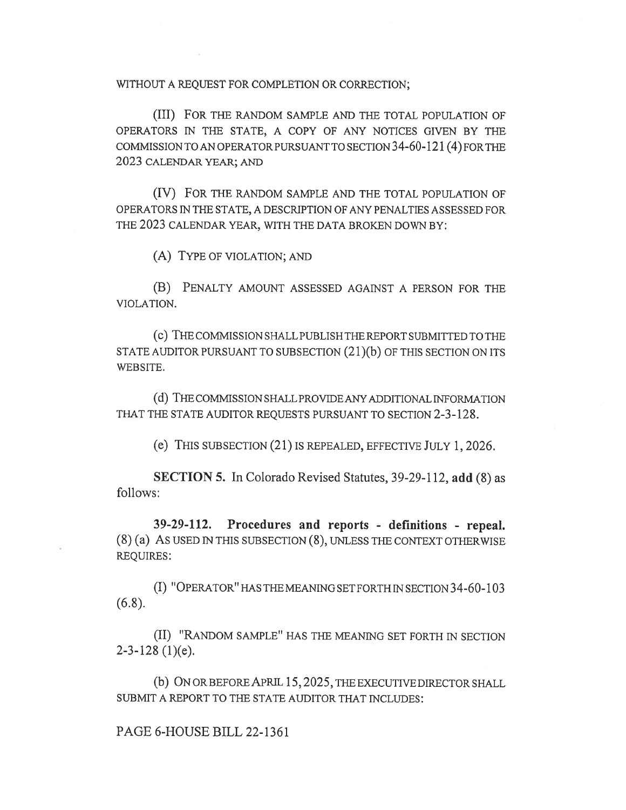WITHOUT A REQUEST FOR COMPLETION OR CORRECTION;

(III) FOR THE RANDOM SAMPLE AND THE TOTAL POPULATION OF OPERATORS IN THE STATE, A COPY OF ANY NOTICES GIVEN BY THE COMMISSION TO AN OPERATOR PURSUANT TO SECTION 34-60-121(4) FOR THE 2023 CALENDAR YEAR; AND

(IV) FOR THE RANDOM SAMPLE AND THE TOTAL POPULATION OF OPERATORS IN THE STATE, A DESCRIPTION OF ANY PENALTIES ASSESSED FOR THE 2023 CALENDAR YEAR, WITH THE DATA BROKEN DOWN BY:

(A) TYPE OF VIOLATION; AND

(B) PENALTY AMOUNT ASSESSED AGAINST A PERSON FOR THE VIOLATION.

(c) THE COMMISSION SHALL PUBLISH THE REPORT SUBMITTED TO THE STATE AUDITOR PURSUANT TO SUBSECTION (21)(b) OF THIS SECTION ON ITS WEBSITE.

(d) THE COMMISSION SHALL PROVIDE ANY ADDITIONAL INFORMATION THAT THE STATE AUDITOR REQUESTS PURSUANT TO SECTION 2-3-128.

(e) THIS SUBSECTION (21) IS REPEALED, EFFECTIVE JULY 1, 2026.

SECTION 5. In Colorado Revised Statutes, 39-29-112, add (8) as follows:

39-29-112. Procedures and reports - definitions - repeal. (8) (a) AS USED IN THIS SUBSECTION (8), UNLESS THE CONTEXT OTHERWISE REQUIRES:

(I) "OPERATOR" HAS THE MEANING SET FORTH IN SECTION 34-60-103 (6.8).

(II) "RANDOM SAMPLE" HAS THE MEANING SET FORTH IN SECTION  $2 - 3 - 128$  (1)(e).

(b) ON OR BEFORE APRIL 15, 2025, THE EXECUTIVE DIRECTOR SHALL SUBMIT A REPORT TO THE STATE AUDITOR THAT INCLUDES:

PAGE 6-HOUSE BILL 22-1361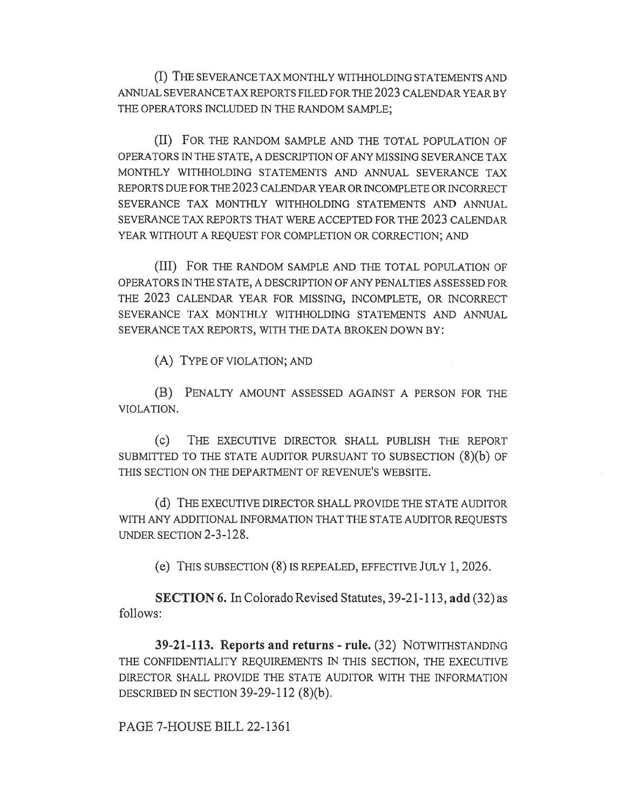(I) THE SEVERANCE TAX MONTHLY WITHHOLDING STATEMENTS AND ANNUAL SEVERANCE TAX REPORTS FILED FOR THE 2023 CALENDAR YEAR BY THE OPERATORS INCLUDED IN THE RANDOM SAMPLE;

(II) FOR THE RANDOM SAMPLE AND THE TOTAL POPULATION OF OPERATORS IN THE STATE, A DESCRIPTION OF ANY MISSING SEVERANCE TAX MONTHLY WITHHOLDING STATEMENTS AND ANNUAL SEVERANCE TAX REPORTS DUE FOR THE 2023 CALENDAR YEAR OR INCOMPLETE OR INCORRECT SEVERANCE TAX MONTHLY WITHHOLDING STATEMENTS AND ANNUAL SEVERANCE TAX REPORTS THAT WERE ACCEPTED FOR THE 2023 CALENDAR YEAR WITHOUT A REQUEST FOR COMPLETION OR CORRECTION; AND

(III) FOR THE RANDOM SAMPLE AND THE TOTAL POPULATION OF OPERATORS IN THE STATE, A DESCRIPTION OF ANY PENALTIES ASSESSED FOR THE 2023 CALENDAR YEAR FOR MISSING, INCOMPLETE, OR INCORRECT SEVERANCE TAX MONTHLY WITHHOLDING STATEMENTS AND ANNUAL SEVERANCE TAX REPORTS, WITH THE DATA BROKEN DOWN BY:

(A) TYPE OF VIOLATION; AND

(B) PENALTY AMOUNT ASSESSED AGAINST A PERSON FOR THE VIOLATION.

(c) THE EXECUTIVE DIRECTOR SHALL PUBLISH THE REPORT SUBMITTED TO THE STATE AUDITOR PURSUANT TO SUBSECTION (8)(b) OF THIS SECTION ON THE DEPARTMENT OF REVENUE'S WEBSITE.

(d) THE EXECUTIVE DIRECTOR SHALL PROVIDE THE STATE AUDITOR WITH ANY ADDITIONAL INFORMATION THAT THE STATE AUDITOR REQUESTS UNDER SECTION 2-3-128.

(e) THIS SUBSECTION (8) IS REPEALED, EFFECTIVE JULY 1, 2026.

SECTION 6. In Colorado Revised Statutes, 39-21-113, add (32) as follows:

39-21-113. Reports and returns - rule. (32) NOTWITHSTANDING THE CONFIDENTIALITY REQUIREMENTS IN THIS SECTION, THE EXECUTIVE DIRECTOR SHALL PROVIDE THE STATE AUDITOR WITH THE INFORMATION DESCRIBED IN SECTION 39-29-112 (8)(b).

PAGE 7-HOUSE BILL 22-1361